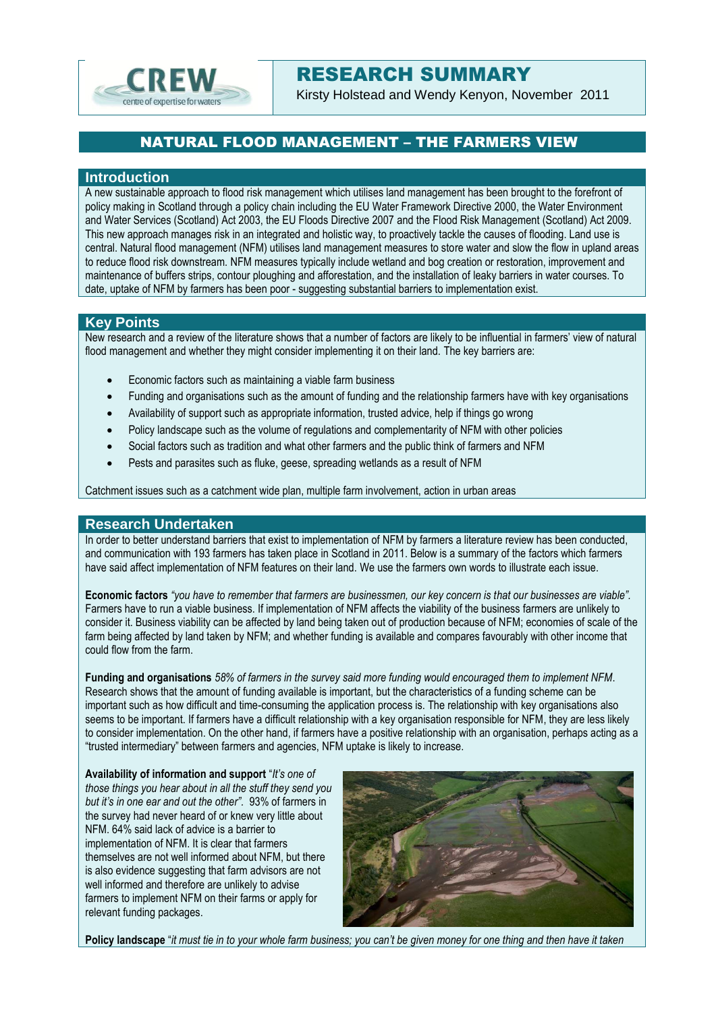

# RESEARCH SUMMARY

Kirsty Holstead and Wendy Kenyon, November 2011

## NATURAL FLOOD MANAGEMENT – THE FARMERS VIEW

#### **Introduction**

A new sustainable approach to flood risk management which utilises land management has been brought to the forefront of policy making in Scotland through a policy chain including the EU Water Framework Directive 2000, the Water Environment and Water Services (Scotland) Act 2003, the EU Floods Directive 2007 and the Flood Risk Management (Scotland) Act 2009. This new approach manages risk in an integrated and holistic way, to proactively tackle the causes of flooding. Land use is central. Natural flood management (NFM) utilises land management measures to store water and slow the flow in upland areas to reduce flood risk downstream. NFM measures typically include wetland and bog creation or restoration, improvement and maintenance of buffers strips, contour ploughing and afforestation, and the installation of leaky barriers in water courses. To date, uptake of NFM by farmers has been poor - suggesting substantial barriers to implementation exist.

#### **Key Points**

New research and a review of the literature shows that a number of factors are likely to be influential in farmers' view of natural flood management and whether they might consider implementing it on their land. The key barriers are:

- Economic factors such as maintaining a viable farm business
- Funding and organisations such as the amount of funding and the relationship farmers have with key organisations
- Availability of support such as appropriate information, trusted advice, help if things go wrong
- Policy landscape such as the volume of regulations and complementarity of NFM with other policies
- Social factors such as tradition and what other farmers and the public think of farmers and NFM
- Pests and parasites such as fluke, geese, spreading wetlands as a result of NFM

Catchment issues such as a catchment wide plan, multiple farm involvement, action in urban areas

#### **Research Undertaken**

In order to better understand barriers that exist to implementation of NFM by farmers a literature review has been conducted, and communication with 193 farmers has taken place in Scotland in 2011. Below is a summary of the factors which farmers have said affect implementation of NFM features on their land. We use the farmers own words to illustrate each issue.

**Economic factors** *"you have to remember that farmers are businessmen, our key concern is that our businesses are viable".*  Farmers have to run a viable business. If implementation of NFM affects the viability of the business farmers are unlikely to consider it. Business viability can be affected by land being taken out of production because of NFM; economies of scale of the farm being affected by land taken by NFM; and whether funding is available and compares favourably with other income that could flow from the farm.

**Funding and organisations** *58% of farmers in the survey said more funding would encouraged them to implement NFM*. Research shows that the amount of funding available is important, but the characteristics of a funding scheme can be important such as how difficult and time-consuming the application process is. The relationship with key organisations also seems to be important. If farmers have a difficult relationship with a key organisation responsible for NFM, they are less likely to consider implementation. On the other hand, if farmers have a positive relationship with an organisation, perhaps acting as a "trusted intermediary" between farmers and agencies, NFM uptake is likely to increase.

**Availability of information and support** "*It's one of those things you hear about in all the stuff they send you but it's in one ear and out the other".* 93% of farmers in the survey had never heard of or knew very little about NFM. 64% said lack of advice is a barrier to implementation of NFM. It is clear that farmers themselves are not well informed about NFM, but there is also evidence suggesting that farm advisors are not well informed and therefore are unlikely to advise farmers to implement NFM on their farms or apply for relevant funding packages.



**Policy landscape** "*it must tie in to your whole farm business; you can't be given money for one thing and then have it taken*